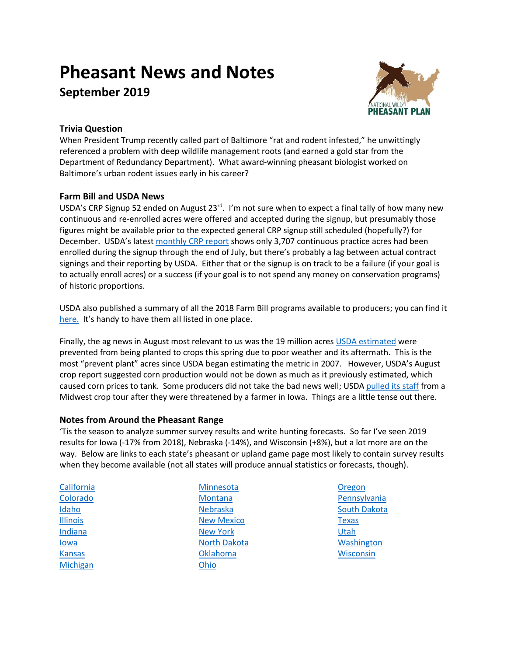# **Pheasant News and Notes September 2019**



# **Trivia Question**

When President Trump recently called part of Baltimore "rat and rodent infested," he unwittingly referenced a problem with deep wildlife management roots (and earned a gold star from the Department of Redundancy Department). What award-winning pheasant biologist worked on Baltimore's urban rodent issues early in his career?

## **Farm Bill and USDA News**

USDA's CRP Signup 52 ended on August 23<sup>rd</sup>. I'm not sure when to expect a final tally of how many new continuous and re-enrolled acres were offered and accepted during the signup, but presumably those figures might be available prior to the expected general CRP signup still scheduled (hopefully?) for December. USDA's latest [monthly CRP report](https://www.fsa.usda.gov/Assets/USDA-FSA-Public/usdafiles/Conservation/PDF/Summary%20JUL%202019-1.pdf) shows only 3,707 continuous practice acres had been enrolled during the signup through the end of July, but there's probably a lag between actual contract signings and their reporting by USDA. Either that or the signup is on track to be a failure (if your goal is to actually enroll acres) or a success (if your goal is to not spend any money on conservation programs) of historic proportions.

USDA also published a summary of all the 2018 Farm Bill programs available to producers; you can find it [here.](https://nam02.safelinks.protection.outlook.com/?url=https%3A%2F%2Fwww.farmers.gov%2Fsites%2Fdefault%2Ffiles%2Fdocuments%2FFarmBill-2018-Brochure-11x17.pdf&data=02%7C01%7Cstaylor%40pheasantsforever.org%7C35338cd4545348ae97d808d71f384523%7Caa7f2878315845b4bbebd7b7b3fe4ae3%7C1%7C1%7C637012198858126693&sdata=igRefjh6lnYbLydvHFxXZnC75XAvYbFBufmAOPRWLH8%3D&reserved=0) It's handy to have them all listed in one place.

Finally, the ag news in August most relevant to us was the 19 million acre[s USDA estimated](https://www.fsa.usda.gov/news-room/news-releases/2019/report-farmers-prevented-from-planting-crops-on-more-than-19-million-acres?utm_medium=email&utm_source=govdelivery) were prevented from being planted to crops this spring due to poor weather and its aftermath. This is the most "prevent plant" acres since USDA began estimating the metric in 2007. However, USDA's August crop report suggested corn production would not be down as much as it previously estimated, which caused corn prices to tank. Some producers did not take the bad news well; USDA [pulled its staff](https://www.cnbc.com/2019/08/21/reuters-america-update-2-farmers-threat-prompts-usda-to-pull-staff-from-crop-tour.html) from a Midwest crop tour after they were threatened by a farmer in Iowa. Things are a little tense out there.

## **Notes from Around the Pheasant Range**

'Tis the season to analyze summer survey results and write hunting forecasts. So far I've seen 2019 results for Iowa (-17% from 2018), Nebraska (-14%), and Wisconsin (+8%), but a lot more are on the way. Below are links to each state's pheasant or upland game page most likely to contain survey results when they become available (not all states will produce annual statistics or forecasts, though).

**[California](http://www.dfg.ca.gov/wildlife/hunting/uplandgame/)** [Colorado](https://cpw.state.co.us/thingstodo/Pages/SmallGame.aspx) [Idaho](https://idfg.idaho.gov/hunt/upland-bird) [Illinois](https://www.dnr.illinois.gov/conservation/wildlife/Pages/UplandWildlfeManagement.aspx) [Indiana](https://www.in.gov/dnr/fishwild/2344.htm) [Iowa](https://www.iowadnr.gov/Hunting/Pheasant-Small-Game) **[Kansas](https://ksoutdoors.com/Hunting/Upland-Birds)** [Michigan](https://www.michigan.gov/dnr/0,4570,7-350-79136_79608_81526---,00.html)

**[Minnesota](https://www.dnr.state.mn.us/hunting/pheasant/index.html)** [Montana](http://fwp.mt.gov/hunting/hunterAccess/uplandgamebird/) [Nebraska](http://outdoornebraska.gov/wp-content/uploads/2019/08/2019-Nebraska-Upland-Forecast-FINAL.pdf) [New Mexico](http://www.wildlife.state.nm.us/hunting/information-by-animal/upland-game/) [New York](https://www.dec.ny.gov/outdoor/8363.html) [North Dakota](https://gf.nd.gov/hunting/upland) [Oklahoma](https://www.wildlifedepartment.com/hunting/species/pheasant) [Ohio](http://wildlife.ohiodnr.gov/species-and-habitats/species-guide-index/birds/ring-necked-pheasant)

**[Oregon](https://www.dfw.state.or.us/resources/hunting/upland_bird/population/index.asp) [Pennsylvania](https://www.pgc.pa.gov/Wildlife/WildlifeSpecies/Ring-NeckedPheasant/Pages/default.aspx)** [South Dakota](https://gfp.sd.gov/pheasant/) [Texas](https://tpwd.texas.gov/landwater/land/habitats/high_plains/upland_game/pheasant.phtml) [Utah](https://wildlife.utah.gov/hunting/main-hunting-page/upland-game-turkey.html) [Washington](https://wdfw.wa.gov/species-habitats/species/phasianus-colchicus) **[Wisconsin](https://dnr.wi.gov/topic/hunt/pheasant.html)**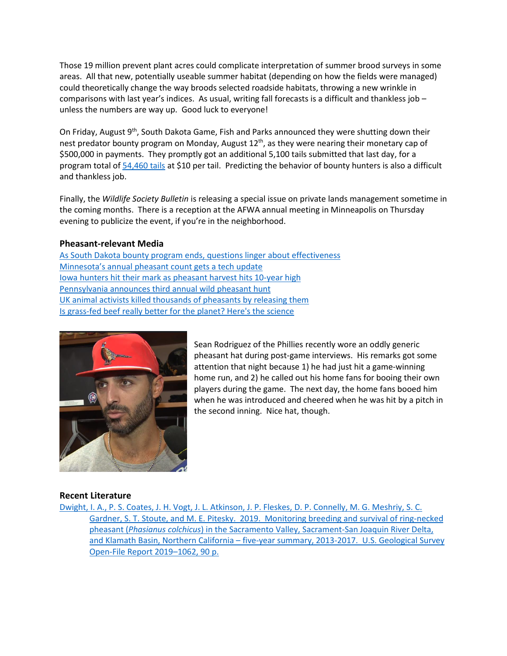Those 19 million prevent plant acres could complicate interpretation of summer brood surveys in some areas. All that new, potentially useable summer habitat (depending on how the fields were managed) could theoretically change the way broods selected roadside habitats, throwing a new wrinkle in comparisons with last year's indices. As usual, writing fall forecasts is a difficult and thankless job – unless the numbers are way up. Good luck to everyone!

On Friday, August 9<sup>th</sup>, South Dakota Game, Fish and Parks announced they were shutting down their nest predator bounty program on Monday, August 12<sup>th</sup>, as they were nearing their monetary cap of \$500,000 in payments. They promptly got an additional 5,100 tails submitted that last day, for a program total of [54,460 tails](https://sdgfp.maps.arcgis.com/apps/opsdashboard/index.html#/e7bbbd6fa93b48c6a31985aa7c57c5ff) at \$10 per tail. Predicting the behavior of bounty hunters is also a difficult and thankless job.

Finally, the *Wildlife Society Bulletin* is releasing a special issue on private lands management sometime in the coming months. There is a reception at the AFWA annual meeting in Minneapolis on Thursday evening to publicize the event, if you're in the neighborhood.

### **Pheasant-relevant Media**

[As South Dakota bounty program ends, questions linger about effectiveness](https://listen.sdpb.org/post/bounty-program-ends-questions-linger-about-effectiveness) [Minnesota's annual pheasant count gets a tech update](https://www.postbulletin.com/news/local/annual-pheasant-count-gets-a-tech-update/article_c26f70c2-bdf1-11e9-a75a-63e67a3839c5.html) [Iowa hunters hit their mark as pheasant harvest hits 10-year high](https://www.thegazette.com/subject/news/iowa-dnr-pheasant-quail-hunt-harvest-total-20190814) [Pennsylvania announces third annual wild pheasant hunt](https://www.media.pa.gov/Pages/Game-Commission-Details.aspx?newsid=327) UK animal activists killed thousands of pheasants by releasing them [Is grass-fed beef really better for](https://www.npr.org/sections/thesalt/2019/08/13/746576239/is-grass-fed-beef-really-better-for-the-planet-heres-the-science) the planet? Here's the science



Sean Rodriguez of the Phillies recently wore an oddly generic pheasant hat during post-game interviews. His remarks got some attention that night because 1) he had just hit a game-winning home run, and 2) he called out his home fans for booing their own players during the game. The next day, the home fans booed him when he was introduced and cheered when he was hit by a pitch in the second inning. Nice hat, though.

#### **Recent Literature**

[Dwight, I. A., P. S. Coates, J. H. Vogt, J. L. Atkinson, J. P. Fleskes, D. P. Connelly, M. G. Meshriy, S. C.](https://doi.org/10.3133/ofr20191062)  [Gardner, S. T. Stoute, and M. E. Pitesky. 2019. Monitoring breeding and survival of ring-necked](https://doi.org/10.3133/ofr20191062)  pheasant (*Phasianus colchicus*[\) in the Sacramento Valley, Sacrament-San Joaquin River Delta,](https://doi.org/10.3133/ofr20191062)  and Klamath Basin, Northern California – [five-year summary, 2013-2017. U.S. Geological Survey](https://doi.org/10.3133/ofr20191062)  [Open-File Report 2019](https://doi.org/10.3133/ofr20191062)–1062, 90 p.